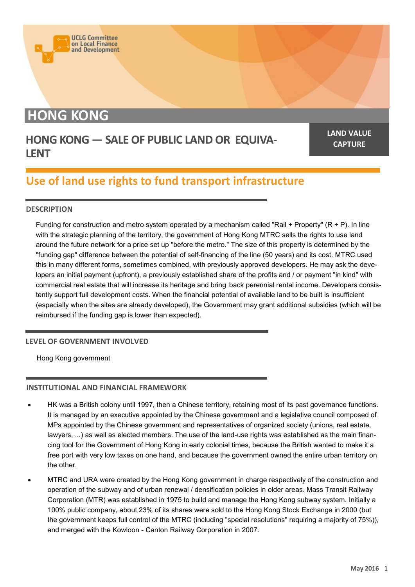# **HONG KONG**

**UCLG Committee** on Local Finance<br>and Development

### **HONG KONG — SALE OF PUBLIC LAND OR EQUIVA-LENT**

**LAND VALUE CAPTURE**

## **Use of land use rights to fund transport infrastructure**

#### **DESCRIPTION**

Funding for construction and metro system operated by a mechanism called "Rail + Property" (R + P). In line with the strategic planning of the territory, the government of Hong Kong MTRC sells the rights to use land around the future network for a price set up "before the metro." The size of this property is determined by the "funding gap" difference between the potential of self-financing of the line (50 years) and its cost. MTRC used this in many different forms, sometimes combined, with previously approved developers. He may ask the developers an initial payment (upfront), a previously established share of the profits and / or payment "in kind" with commercial real estate that will increase its heritage and bring back perennial rental income. Developers consistently support full development costs. When the financial potential of available land to be built is insufficient (especially when the sites are already developed), the Government may grant additional subsidies (which will be reimbursed if the funding gap is lower than expected).

#### **LEVEL OF GOVERNMENT INVOLVED**

Hong Kong government

#### **INSTITUTIONAL AND FINANCIAL FRAMEWORK**

- HK was a British colony until 1997, then a Chinese territory, retaining most of its past governance functions. It is managed by an executive appointed by the Chinese government and a legislative council composed of MPs appointed by the Chinese government and representatives of organized society (unions, real estate, lawyers, ...) as well as elected members. The use of the land-use rights was established as the main financing tool for the Government of Hong Kong in early colonial times, because the British wanted to make it a free port with very low taxes on one hand, and because the government owned the entire urban territory on the other.
- MTRC and URA were created by the Hong Kong government in charge respectively of the construction and operation of the subway and of urban renewal / densification policies in older areas. Mass Transit Railway Corporation (MTR) was established in 1975 to build and manage the Hong Kong subway system. Initially a 100% public company, about 23% of its shares were sold to the Hong Kong Stock Exchange in 2000 (but the government keeps full control of the MTRC (including "special resolutions" requiring a majority of 75%)), and merged with the Kowloon - Canton Railway Corporation in 2007.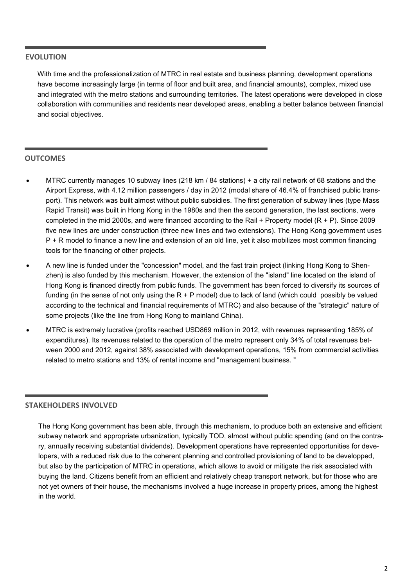#### **EVOLUTION**

With time and the professionalization of MTRC in real estate and business planning, development operations have become increasingly large (in terms of floor and built area, and financial amounts), complex, mixed use and integrated with the metro stations and surrounding territories. The latest operations were developed in close collaboration with communities and residents near developed areas, enabling a better balance between financial and social objectives.

#### **OUTCOMES**

- MTRC currently manages 10 subway lines (218 km / 84 stations) + a city rail network of 68 stations and the Airport Express, with 4.12 million passengers / day in 2012 (modal share of 46.4% of franchised public transport). This network was built almost without public subsidies. The first generation of subway lines (type Mass Rapid Transit) was built in Hong Kong in the 1980s and then the second generation, the last sections, were completed in the mid 2000s, and were financed according to the Rail + Property model (R + P). Since 2009 five new lines are under construction (three new lines and two extensions). The Hong Kong government uses P + R model to finance a new line and extension of an old line, yet it also mobilizes most common financing tools for the financing of other projects.
- A new line is funded under the "concession" model, and the fast train project (linking Hong Kong to Shenzhen) is also funded by this mechanism. However, the extension of the "island" line located on the island of Hong Kong is financed directly from public funds. The government has been forced to diversify its sources of funding (in the sense of not only using the  $R + P$  model) due to lack of land (which could possibly be valued according to the technical and financial requirements of MTRC) and also because of the "strategic" nature of some projects (like the line from Hong Kong to mainland China).
- MTRC is extremely lucrative (profits reached USD869 million in 2012, with revenues representing 185% of expenditures). Its revenues related to the operation of the metro represent only 34% of total revenues between 2000 and 2012, against 38% associated with development operations, 15% from commercial activities related to metro stations and 13% of rental income and "management business. "

#### **STAKEHOLDERS INVOLVED**

The Hong Kong government has been able, through this mechanism, to produce both an extensive and efficient subway network and appropriate urbanization, typically TOD, almost without public spending (and on the contrary, annually receiving substantial dividends). Development operations have represented opportunities for developers, with a reduced risk due to the coherent planning and controlled provisioning of land to be developped, but also by the participation of MTRC in operations, which allows to avoid or mitigate the risk associated with buying the land. Citizens benefit from an efficient and relatively cheap transport network, but for those who are not yet owners of their house, the mechanisms involved a huge increase in property prices, among the highest in the world.